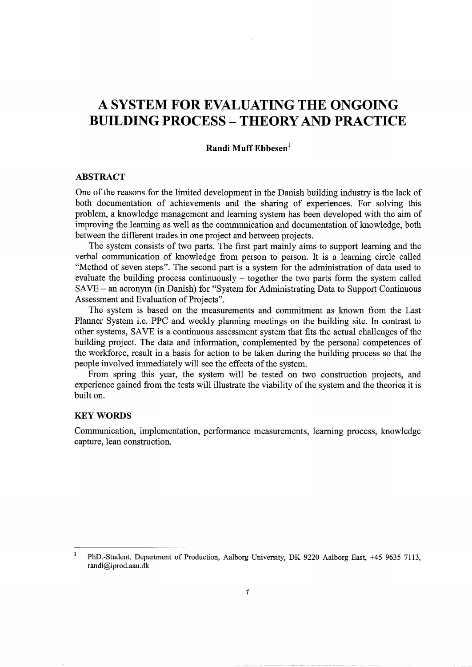# **A SYSTEM FOR EVALUATING THE ONGOING BUILDING PROCESS- THEORY AND PRACTICE**

# **Randi Muff Ebbesen** <sup>1</sup>

# **ABSTRACT**

One of the reasons for the limited development in the Danish building industry is the lack of both documentation of achievements and the sharing of experiences. For solving this problem, a knowledge management and learning system has been developed with the aim of improving the learning as well as the communication and documentation of knowledge, both between the different trades in one project and between projects.

The system consists of two parts. The first part mainly aims to support learning and the verbal communication of knowledge from person to person. It is a learning circle called "Method of seven steps". The second part is a system for the administration of data used to evaluate the building process continuously  $-$  together the two parts form the system called SAVE - an acronym (in Danish) for "System for Administrating Data to Support Continuous Assessment and Evaluation of Projects".

The system is based on the measurements and commitment as known from the Last Planner System i.e. PPC and weekly planning meetings on the building site. In contrast to other systems, SAVE is a continuous assessment system that fits the actual challenges of the building project. The data and information, complemented by the personal competences of the workforce, result in a basis for action to be taken during the building process so that the people involved immediately will see the effects of the system.

From spring this year, the system will be tested on two construction projects, and experience gained from the tests will illustrate the viability of the system and the theories it is built on.

#### **KEYWORDS**

 $\mathbf{1}$ 

Communication, implementation, performance measurements, learning process, knowledge capture, lean construction.

PhD.-Student, Department of Production, Aalborg University, DK 9220 Aalborg East, +45 9635 7113, randi@iprod.aau.dk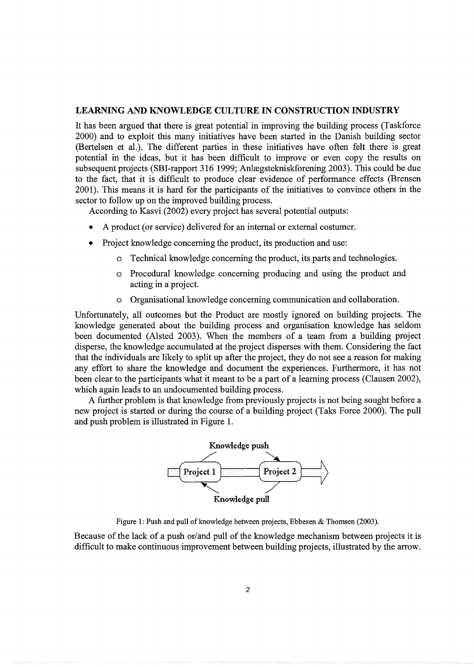# LEARNING AND KNOWLEDGE CULTURE IN CONSTRUCTION INDUSTRY

It has been argued that there is great potential in improving the building process (Taskforce 2000) and to exploit this many initiatives have been started in the Danish building sector (Bertelsen et al.). The different parties in these initiatives have often felt there is great potential in the ideas, but it has been difficult to improve or even copy the results on subsequent projects (SBI-rapport 316 1999; Anlægstekniskforening 2003). This could be due to the fact, that it is difficult to produce clear evidence of performance effects (Brensen 2001). This means it is hard for the participants of the initiatives to convince others in the sector to follow up on the improved building process.

According to Kasvi (2002) every project has several potential outputs:

- A product (or service) delivered for an internal or external costumer.
- Project knowledge concerning the product, its production and use:
	- o Technical knowledge concerning the product, its parts and technologies.
	- o Procedural knowledge concerning producing and using the product and acting in a project.
	- o Organisational knowledge concerning communication and collaboration.

Unfortunately, all outcomes but the Product are mostly ignored on building projects. The knowledge generated about the building process and organisation knowledge has seldom been documented (Alsted 2003). When the members of a team from a building project disperse, the knowledge accumulated at the project disperses with them. Considering the fact that the individuals are likely to split up after the project, they do not see a reason for making any effort to share the knowledge and document the experiences. Furthermore, it has not been clear to the participants what it meant to be a part of a learning process (Clausen 2002), which again leads to an undocumented building process.

A further problem is that knowledge from previously projects is not being sought before a new project is started or during the course of a building project (Taks Force 2000). The pull and push problem is illustrated in Figure 1.



Figure 1: Push and pull of knowledge between projects, Ebbesen  $\&$  Thomsen (2003).

Because of the lack of a push or/and pull of the knowledge mechanism between projects it is difficult to make continuous improvement between building projects, illustrated by the arrow.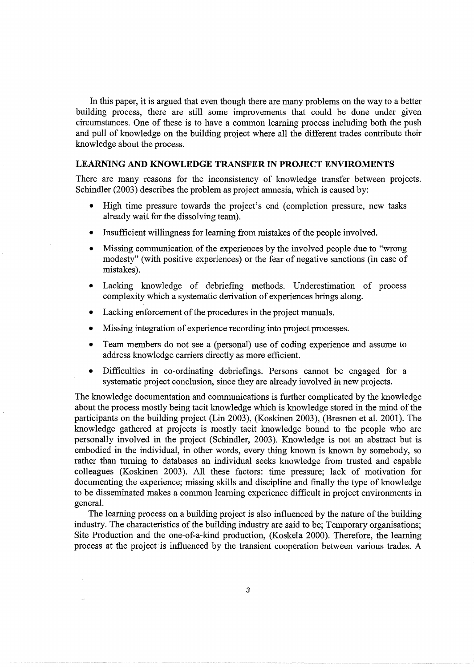In this paper, it is argued that even though there are many problems on the way to a better building process, there are still some improvements that could be done under given circumstances. One of these is to have a common learning process including both the push and pull of knowledge on the building project where all the different trades contribute their knowledge about the process.

# **LEARNING AND KNOWLEDGE TRANSFER IN PROJECT ENVIROMENTS**

There are many reasons for the inconsistency of knowledge transfer between projects. Schindler (2003) describes the problem as project amnesia, which is caused by:

- High time pressure towards the project's end (completion pressure, new tasks already wait for the dissolving team).
- Insufficient willingness for learning from mistakes of the people involved.
- Missing communication of the experiences by the involved people due to "wrong modesty" (with positive experiences) or the fear of negative sanctions (in case of mistakes).
- Lacking knowledge of debriefing methods. Underestimation of process complexity which a systematic derivation of experiences brings along.
- Lacking enforcement of the procedures in the project manuals.
- Missing integration of experience recording into project processes.
- Team members do not see a (personal) use of coding experience and assume to address knowledge carriers directly as more efficient.
- Difficulties in co-ordinating debriefings. Persons cannot be engaged for a systematic project conclusion, since they are already involved in new projects.

The knowledge documentation and communications is further complicated by the knowledge about the process mostly being tacit knowledge which is knowledge stored in the mind of the participants on the building project (Lin 2003), (Koskinen 2003), (Bresnen et al. 2001). The knowledge gathered at projects is mostly tacit knowledge bound to the people who are personally involved in the project (Schindler, 2003). Knowledge is not an abstract but is embodied in the individual, in other words, every thing known is known by somebody, so rather than turning to databases an individual seeks knowledge from trusted and capable colleagues (Koskinen 2003). All these factors: time pressure; lack of motivation for documenting the experience; missing skills and discipline and finally the type of knowledge to be disseminated makes a common learning experience difficult in project environments in general.

The learning process on a building project is also influenced by the nature of the building industry. The characteristics of the building industry are said to be; Temporary organisations; Site Production and the one-of-a-kind production, (Koskela 2000). Therefore, the learning process at the project is influenced by the transient cooperation between various trades. A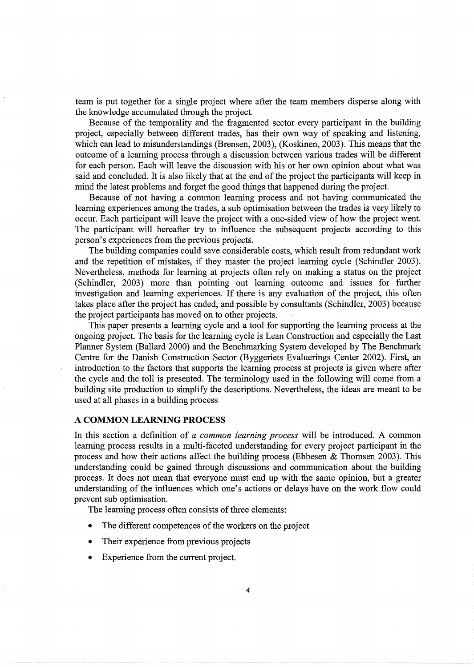team is put together for a single project where after the team members disperse along with the knowledge accumulated through the project.

Because of the temporality and the fragmented sector every participant in the building project, especially between different trades, has their own way of speaking and listening, which can lead to misunderstandings (Brensen, 2003), (Koskinen, 2003). This means that the outcome of a learning process through a discussion between various trades will be different for each person. Each will leave the discussion with his or her own opinion about what was said and concluded. It is also likely that at the end of the project the participants will keep in mind the latest problems and forget the good things that happened during the project.

Because of not having a common learning process and not having communicated the learning experiences among the trades, a sub optimisation between the trades is very likely to occur. Each participant will leave the project with a one-sided view of how the project went. The participant will hereafter try to influence the subsequent projects according to this person's experiences from the previous projects.

The building companies could save considerable costs, which result from redundant work and the repetition of mistakes, if they master the project learning cycle (Schindler 2003). Nevertheless, methods for learning at projects often rely on making a status on the project (Schindler, 2003) more than pointing out learning outcome and issues for further investigation and learning experiences. If there is any evaluation of the project, this often takes place after the project has ended, and possible by consultants (Schindler, 2003) because the project participants has moved on to other projects.

This paper presents a learning cycle and a tool for supporting the learning process at the ongoing project. The basis for the learning cycle is Lean Construction and especially the Last Planner System (Ballard 2000) and the Benchmarking System developed by The Benchmark Centre for the Danish Construction Sector (Byggeriets Evaluerings Center 2002). First, an introduction to the factors that supports the learning process at projects is given where after the cycle and the toll is presented. The terminology used in the following will come from a building site production to simplify the descriptions. Nevertheless, the ideas are meant to be used at all phases in a building process

## A **COMMON LEARNING PROCESS**

In this section a definition of *a common learning process* will be introduced. A common learning process results in a multi-faceted understanding for every project participant in the process and how their actions affect the building process (Ebbesen & Thomsen 2003). This understanding could be gained through discussions and communication about the building process. It does not mean that everyone must end up with the same opinion, but a greater understanding of the influences which one's actions or delays have on the work flow could prevent sub optimisation.

The learning process often consists of three elements:

- The different competences of the workers on the project
- Their experience from previous projects
- Experience from the current project.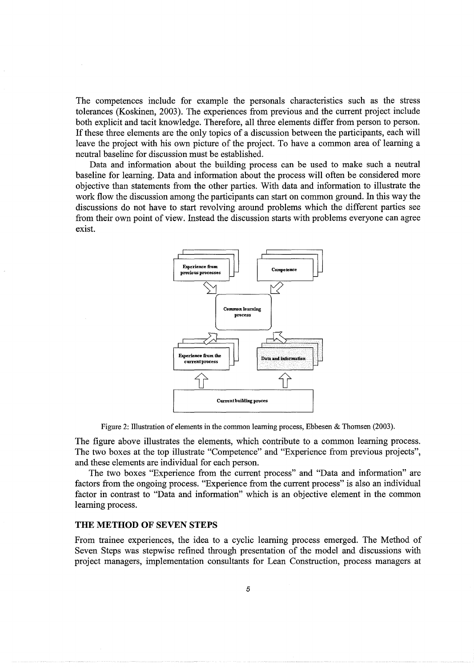The competences include for example the personals characteristics such as the stress tolerances (Koskinen, 2003). The experiences from previous and the current project include both explicit and tacit knowledge. Therefore, all three elements differ from person to person. If these three elements are the only topics of a discussion between the participants, each will leave the project with his own picture of the project. To have a common area of learning a neutral baseline for discussion must be established.

Data and information about the building process can be used to make such a neutral baseline for learning. Data and information about the process will often be considered more objective than statements from the other parties. With data and information to illustrate the work flow the discussion among the participants can start on common ground. In this way the discussions do not have to start revolving around problems which the different parties see from their own point of view. Instead the discussion starts with problems everyone can agree exist.



Figure 2: Illustration of elements in the common learning process, Ebbesen & Thomsen (2003).

The figure above illustrates the elements, which contribute to a common learning process. The two boxes at the top illustrate "Competence" and "Experience from previous projects", and these elements are individual for each person.

The two boxes "Experience from the current process" and "Data and information" are factors from the ongoing process. "Experience from the current process" is also an individual factor in contrast to "Data and information" which is an objective element in the common learning process.

#### **THE METHOD OF SEVEN STEPS**

From trainee experiences, the idea to a cyclic learning process emerged. The Method of Seven Steps was stepwise refined through presentation of the model and discussions with project managers, implementation consultants for Lean Construction, process managers at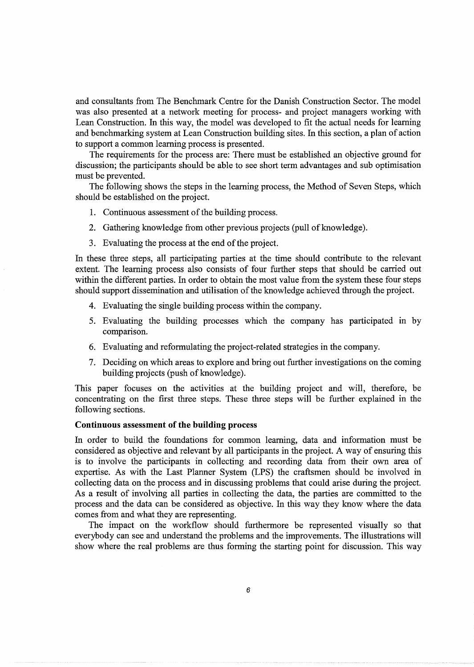and consultants from The Benchmark Centre for the Danish Construction Sector. The model was also presented at a network meeting for process- and project managers working with Lean Construction. In this way, the model was developed to fit the actual needs for learning and benchmarking system at Lean Construction building sites. In this section, a plan of action to support a common learning process is presented.

The requirements for the process are: There must be established an objective ground for discussion; the participants should be able to see short term advantages and sub optimisation must be prevented.

The following shows the steps in the learning process, the Method of Seven Steps, which should be established on the project.

- 1. Continuous assessment of the building process.
- 2. Gathering knowledge from other previous projects (pull of knowledge).
- 3. Evaluating the process at the end of the project.

In these three steps, all participating parties at the time should contribute to the relevant extent. The learning process also consists of four further steps that should be carried out within the different parties. In order to obtain the most value from the system these four steps should support dissemination and utilisation of the knowledge achieved through the project.

- 4. Evaluating the single building process within the company.
- 5. Evaluating the building processes which the company has participated in by comparison.
- 6. Evaluating and reformulating the project-related strategies in the company.
- 7. Deciding on which areas to explore and bring out further investigations on the coming building projects (push of knowledge).

This paper focuses on the activities at the building project and will, therefore, be concentrating on the first three steps. These three steps will be further explained in the following sections.

# **Continuous assessment of the building process**

In order to build the foundations for common learning, data and information must be considered as objective and relevant by all participants in the project. A way of ensuring this is to involve the participants in collecting and recording data from their own area of expertise. As with the Last Planner System (LPS) the craftsmen should be involved in collecting data on the process and in discussing problems that could arise during the project. As a result of involving all parties in collecting the data, the parties are committed to the process and the data can be considered as objective. In this way they know where the data comes from and what they are representing.

The impact on the workflow should furthermore be represented visually so that everybody can see and understand the problems and the improvements. The illustrations will show where the real problems are thus forming the starting point for discussion. This way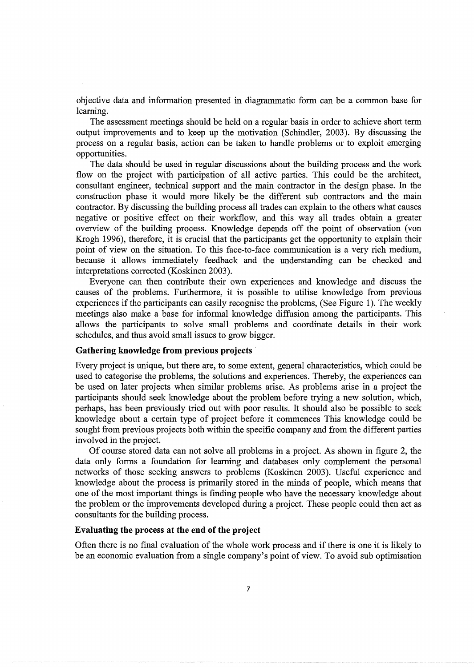objective data and information presented in diagrammatic form can be a common base for learning.

The assessment meetings should be held on a regular basis in order to achieve short term output improvements and to keep up the motivation (Schindler, 2003). By discussing the process on a regular basis, action can be taken to handle problems or to exploit emerging opportunities.

The data should be used in regular discussions about the building process and the work flow on the project with participation of all active parties. This could be the architect, consultant engineer, technical support and the main contractor in the design phase. In the construction phase it would more likely be the different sub contractors and the main contractor. By discussing the building process all trades can explain to the others what causes negative or positive effect on their workflow, and this way all trades obtain a greater overview of the building process. Knowledge depends off the point of observation (von Krogh 1996), therefore, it is crucial that the participants get the opportunity to explain their point of view on the situation. To this face-to-face communication is a very rich medium, because it allows immediately feedback and the understanding can be checked and interpretations corrected (Koskinen 2003).

Everyone can then contribute their own experiences and knowledge and discuss the causes of the problems. Furthermore, it is possible to utilise knowledge from previous experiences if the participants can easily recognise the problems, (See Figure 1). The weekly meetings also make a base for informal knowledge diffusion among the participants. This allows the participants to solve small problems and coordinate details in their work schedules, and thus avoid small issues to grow bigger.

# **Gathering knowledge from previous projects**

Every project is unique, but there are, to some extent, general characteristics, which could be used to categorise the problems, the solutions and experiences. Thereby, the experiences can be used on later projects when similar problems arise. As problems arise in a project the participants should seek knowledge about the problem before trying a new solution, which, perhaps, has been previously tried out with poor results. It should also be possible to seek knowledge about a certain type of project before it commences This knowledge could be sought from previous projects both within the specific company and from the different parties involved in the project.

Of course stored data can not solve all problems in a project. As shown in figure 2, the data only forms a foundation for learning and databases only complement the personal networks of those seeking answers to problems (Koskinen 2003). Useful experience and knowledge about the process is primarily stored in the minds of people, which means that one of the most important things is finding people who have the necessary knowledge about the problem or the improvements developed during a project. These people could then act as consultants for the building process.

# **Evaluating the process at the end of the project**

Often there is no final evaluation of the whole work process and if there is one it is likely to be an economic evaluation from a single company's point of view. To avoid sub optimisation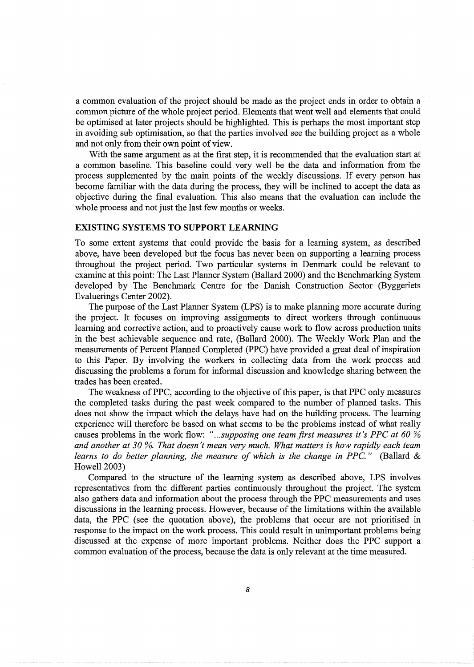a common evaluation of the project should be made as the project ends in order to obtain a common picture of the whole project period. Elements that went well and elements that could be optimised at later projects should be highlighted. This is perhaps the most important step in avoiding sub optimisation, so that the parties involved see the building project as a whole and not only from their own point of view.

With the same argument as at the first step, it is recommended that the evaluation start at a common baseline. This baseline could very well be the data and information from the process supplemented by the main points of the weekly discussions. If every person has become familiar with the data during the process, they will be inclined to accept the data as objective during the final evaluation. This also means that the evaluation can include the whole process and not just the last few months or weeks.

# **EXISTING SYSTEMS TO SUPPORT LEARNING**

To some extent systems that could provide the basis for a learning system, as described above, have been developed but the focus has never been on supporting a learning process throughout the project period. Two particular systems in Denmark could be relevant to examine at this point: The Last Planner System (Ballard 2000) and the Benchmarking System developed by The Benchmark Centre for the Danish Construction Sector (Byggeriets Evaluerings Center 2002).

The purpose of the Last Planner System (LPS) is to make planning more accurate during the project. It focuses on improving assignments to direct workers through continuous learning and corrective action, and to proactively cause work to flow across production units in the best achievable sequence and rate, (Ballard 2000). The Weekly Work Plan and the measurements of Percent Planned Completed (PPC) have provided a great deal of inspiration to this Paper. By involving the workers in collecting data from the work process and discussing the problems a forum for informal discussion and knowledge sharing between the trades has been created.

The weakness of PPC, according to the objective of this paper, is that PPC only measures the completed tasks during the past week compared to the number of planned tasks. This does not show the impact which the delays have had on the building process. The learning experience will therefore be based on what seems to be the problems instead of what really causes problems in the work flow: "...*supposing one team first measures it's PPC at 60 % and another at 30%. That doesn't mean very much. What matters is how rapidly each team learns to do better planning, the measure of which is the change in PPC.*" (Ballard & Howell 2003)

Compared to the structure of the learning system as described above, LPS involves representatives from the different parties continuously throughout the project. The system also gathers data and information about the process through the PPC measurements and uses discussions in the learning process. However, because of the limitations within the available data, the PPC (see the quotation above), the problems that occur are not prioritised in response to the impact on the work process. This could result in unimportant problems being discussed at the expense of more important problems. Neither does the PPC support a common evaluation of the process, because the data is only relevant at the time measured.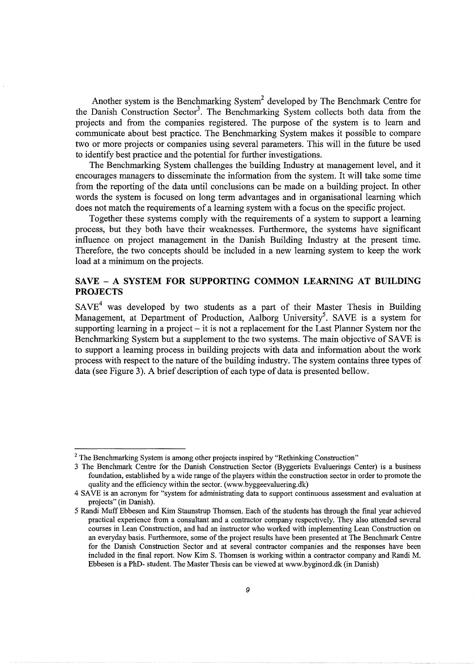Another system is the Benchmarking System<sup>2</sup> developed by The Benchmark Centre for the Danish Construction Sector<sup>3</sup>. The Benchmarking System collects both data from the projects and from the companies registered. The purpose of the system is to learn and communicate about best practice. The Benchmarking System makes it possible to compare two or more projects or companies using several parameters. This will in the future be used to identify best practice and the potential for further investigations.

The Benchmarking System challenges the building Industry at management level, and it encourages managers to disseminate the information from the system. It will take some time from the reporting of the data until conclusions can be made on a building project. In other words the system is focused on long term advantages and in organisational learning which does not match the requirements of a learning system with a focus on the specific project.

Together these systems comply with the requirements of a system to support a learning process, but they both have their weaknesses. Furthermore, the systems have significant influence on project management in the Danish Building Industry at the present time. Therefore, the two concepts should be included in a new learning system to keep the work load at a minimum on the projects.

# SAVE - A SYSTEM FOR SUPPORTING COMMON LEARNING AT BUILDING **PROJECTS**

 $\mathrm{SAVE}^4$  was developed by two students as a part of their Master Thesis in Building Management, at Department of Production, Aalborg University<sup>5</sup>. SAVE is a system for supporting learning in a project  $-$  it is not a replacement for the Last Planner System nor the Benchmarking System but a supplement to the two systems. The main objective of SAVE is to support a learning process in building projects with data and information about the work process with respect to the nature of the building industry. The system contains three types of data (see Figure 3). A brief description of each type of data is presented bellow.

<sup>&</sup>lt;sup>2</sup> The Benchmarking System is among other projects inspired by "Rethinking Construction"

<sup>3</sup> The Benchmark Centre for the Danish Construction Sector (Byggeriets Evaluerings Center) is a business foundation, established by a wide range of the players within the construction sector in order to promote the quality and the efficiency within the sector. (www.byggeevaluering.dk)

<sup>4</sup> SAVE is an acronym for "system for administrating data to support continuous assessment and evaluation at projects" (in Danish).

<sup>5</sup> Randi Muff Ebbesen and Kim Staunstrup Thomsen. Each of the students has through the final year achieved practical experience from a consultant and a contractor company respectively. They also attended several courses in Lean Construction, and had an instructor who worked with implementing Lean Construction on an everyday basis. Furthermore, some of the project results have been presented at The Benchmark Centre for the Danish Construction Sector and at several contractor companies and the responses have been included in the final report. Now Kim S. Thomsen is working within a contractor company and Randi M. Ebbesen is a PhD- student. The Master Thesis can be viewed at www.byginord.dk (in Danish)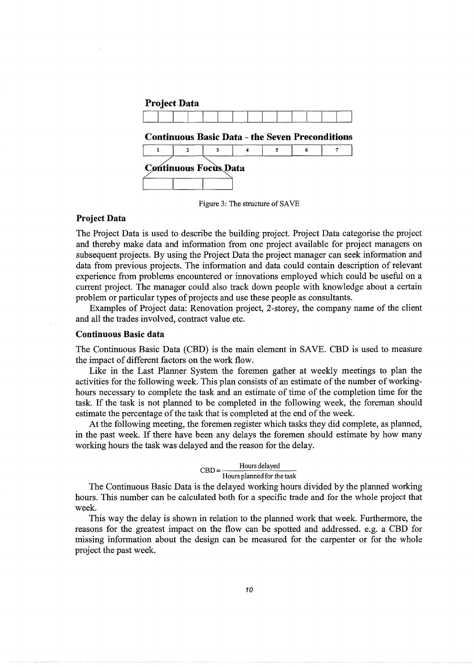| <b>Project Data</b>          |               |   |  |     |   |                                                        |
|------------------------------|---------------|---|--|-----|---|--------------------------------------------------------|
|                              |               |   |  |     |   |                                                        |
|                              |               |   |  |     |   | <b>Continuous Basic Data - the Seven Preconditions</b> |
|                              | $\mathbf 2$ . | 3 |  | - 5 | 6 |                                                        |
| <b>Continuous Focus Data</b> |               |   |  |     |   |                                                        |

Figure 3: The structure of SAVE

# **Project Data**

The Project Data is used to describe the building project. Project Data categorise the project and thereby make data and information from one project available for project managers on subsequent projects. By using the Project Data the project manager can seek information and data from previous projects. The information and data could contain description of relevant experience from problems encountered or innovations employed which could be useful on a current project. The manager could also track down people with knowledge about a certain problem or particular types of projects and use these people as consultants.

Examples of Project data: Renovation project, 2-storey, the company name of the client and all the trades involved, contract value etc.

# **Continuous Basic data**

The Continuous Basic Data (CBD) is the main element in SAVE. CBD is used to measure the impact of different factors on the work flow.

Like in the Last Planner System the foremen gather at weekly meetings to plan the activities for the following week. This plan consists of an estimate of the number of workinghours necessary to complete the task and an estimate of time of the completion time for the task. If the task is not planned to be completed in the following week, the foreman should estimate the percentage of the task that is completed at the end of the week.

At the following meeting, the foremen register which tasks they did complete, as planned, in the past week. If there have been any delays the foremen should estimate by how many working hours the task was delayed and the reason for the delay.

# $CBD =$  Hours delayed Hours planned for the task

The Continuous Basic Data is the delayed working hours divided by the planned working hours. This number can be calculated both for a specific trade and for the whole project that week.

This way the delay is shown in relation to the planned work that week. Furthermore, the reasons for the greatest impact on the flow can be spotted and addressed. e.g. a CBD for missing information about the design can be measured for the carpenter or for the whole project the past week.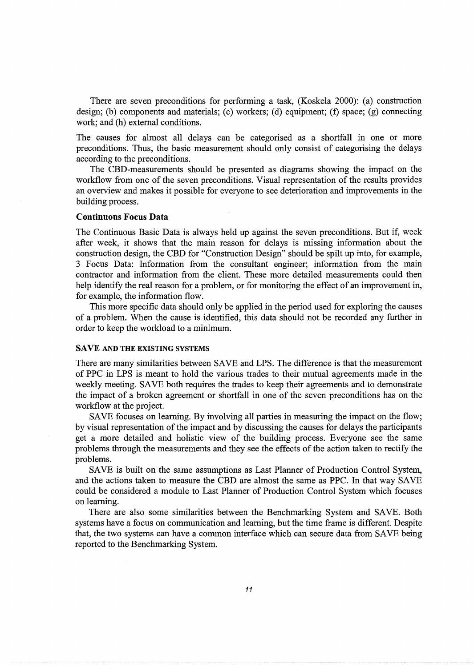There are seven preconditions for performing a task, (Koskela 2000): (a) construction design; (b) components and materials; (c) workers; (d) equipment; (f) space; (g) connecting work; and (h) external conditions.

The causes for almost all delays can be categorised as a shortfall in one or more preconditions. Thus, the basic measurement should only consist of categorising the delays according to the preconditions.

The CBD-measurements should be presented as diagrams showing the impact on the workflow from one of the seven preconditions. Visual representation of the results provides an overview and makes it possible for everyone to see deterioration and improvements in the building process.

#### Continuous Focus Data

The Continuous Basic Data is always held up against the seven preconditions. But if, week after week, it shows that the main reason for delays is missing information about the construction design, the CBD for "Construction Design" should be spilt up into, for example, 3 Focus Data: Information from the consultant engineer; information from the main contractor and information from the client. These more detailed measurements could then help identify the real reason for a problem, or for monitoring the effect of an improvement in, for example, the information flow.

This more specific data should only be applied in the period used for exploring the causes of a problem. When the cause is identified, this data should not be recorded any further in order to keep the workload to a minimum.

# SAVE AND THE EXISTING SYSTEMS

There are many similarities between SAVE and LPS. The difference is that the measurement of PPC in LPS is meant to hold the various trades to their mutual agreements made in the weekly meeting. SAVE both requires the trades to keep their agreements and to demonstrate the impact of a broken agreement or shortfall in one of the seven preconditions has on the workflow at the project.

SAVE focuses on learning. By involving all parties in measuring the impact on the flow; by visual representation of the impact and by discussing the causes for delays the participants get a more detailed and holistic view of the building process. Everyone see the same problems through the measurements and they see the effects of the action taken to rectify the problems.

SAVE is built on the same assumptions as Last Planner of Production Control System, and the actions taken to measure the CBD are almost the same as PPC. In that way SAVE could be considered a module to Last Planner of Production Control System which focuses on learning.

There are also some similarities between the Benchmarking System and SAVE. Both systems have a focus on communication and learning, but the time frame is different. Despite that, the two systems can have a common interface which can secure data from SAVE being reported to the Benchmarking System.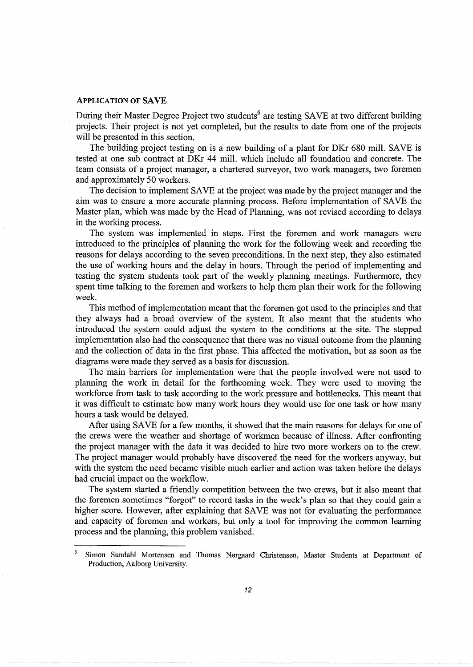#### APPLICATION **OF SAVE**

During their Master Degree Project two students<sup>6</sup> are testing SAVE at two different building projects. Their project is not yet completed, but the results to date from one of the projects will be presented in this section.

The building project testing on is a new building of a plant for DKr 680 mill. SAVE is tested at one sub contract at DKr 44 mill. which include all foundation and concrete. The team consists of a project manager, a chartered surveyor, two work managers, two foremen and approximately 50 workers.

The decision to implement SAVE at the project was made by the project manager and the aim was to ensure a more accurate planning process. Before implementation of SAVE the Master plan, which was made by the Head of Planning, was not revised according to delays in the working process.

The system was implemented in steps. First the foremen and work managers were introduced to the principles of planning the work for the following week and recording the reasons for delays according to the seven preconditions. In the next step, they also estimated the use of working hours and the delay in hours. Through the period of implementing and testing the system students took part of the weekly planning meetings. Furthermore, they spent time talking to the foremen and workers to help them plan their work for the following week.

This method of implementation meant that the foremen got used to the principles and that they always had a broad overview of the system. It also meant that the students who introduced the system could adjust the system to the conditions at the site. The stepped implementation also had the consequence that there was no visual outcome from the planning and the collection of data in the first phase. This affected the motivation, but as soon as the diagrams were made they served as a basis for discussion.

The main barriers for implementation were that the people involved were not used to planning the work in detail for the forthcoming week. They were used to moving the workforce from task to task according to the work pressure and bottlenecks. This meant that it was difficult to estimate how many work hours they would use for one task or how many hours a task would be delayed.

After using SAVE for a few months, it showed that the main reasons for delays for one of the crews were the weather and shortage of workmen because of illness. After confronting the project manager with the data it was decided to hire two more workers on to the crew. The project manager would probably have discovered the need for the workers anyway, but with the system the need became visible much earlier and action was taken before the delays had crucial impact on the workflow.

The system started a friendly competition between the two crews, but it also meant that the foremen sometimes "forgot" to record tasks in the week's plan so that they could gain a higher score. However, after explaining that SAVE was not for evaluating the performance and capacity of foremen and workers, but only a tool for improving the common learning process and the planning, this problem vanished.

<sup>6</sup> Simon Sundahl Mortensen and Thomas Nergaard Christensen, Master Students at Department of Production, Aalborg University.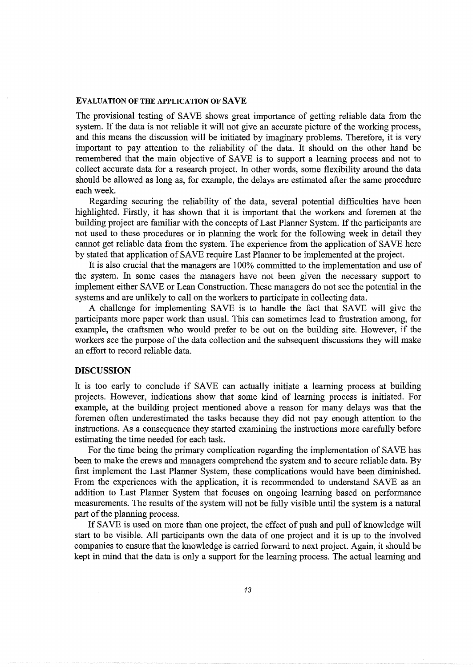#### EVALUATION OF THE APPLICATION OF SAVE

The provisional testing of SAVE shows great importance of getting reliable data from the system. If the data is not reliable it will not give an accurate picture of the working process, and this means the discussion will be initiated by imaginary problems. Therefore, it is very important to pay attention to the reliability of the data. It should on the other hand be remembered that the main objective of SAVE is to support a learning process and not to collect accurate data for a research project. In other words, some flexibility around the data should be allowed as long as, for example, the delays are estimated after the same procedure each week.

Regarding securing the reliability of the data, several potential difficulties have been highlighted. Firstly, it has shown that it is important that the workers and foremen at the building project are familiar with the concepts of Last Planner System. If the participants are not used to these procedures or in planning the work for the following week in detail they cannot get reliable data from the system. The experience from the application of SAVE here by stated that application of SAVE require Last Planner to be implemented at the project.

It is also crucial that the managers are 100% committed to the implementation and use of the system. In some cases the managers have not been given the necessary support to implement either SAVE or Lean Construction. These managers do not see the potential in the systems and are unlikely to call on the workers to participate in collecting data.

A challenge for implementing SAVE is to handle the fact that SAVE will give the participants more paper work than usual. This can sometimes lead to frustration among, for example, the craftsmen who would prefer to be out on the building site. However, if the workers see the purpose of the data collection and the subsequent discussions they will make an effort to record reliable data.

# DISCUSSION

It is too early to conclude if SAVE can actually initiate a learning process at building projects. However, indications show that some kind of learning process is initiated. For example, at the building project mentioned above a reason for many delays was that the foremen often underestimated the tasks because they did not pay enough attention to the instructions. As a consequence they started examining the instructions more carefully before estimating the time needed for each task.

For the time being the primary complication regarding the implementation of SAVE has been to make the crews and managers comprehend the system and to secure reliable data. By first implement the Last Planner System, these complications would have been diminished. From the experiences with the application, it is recommended to understand SAVE as an addition to Last Planner System that focuses on ongoing learning based on performance measurements. The results of the system will not be fully visible until the system is a natural part of the planning process.

If SAVE is used on more than one project, the effect of push and pull of knowledge will start to be visible. All participants own the data of one project and it is up to the involved companies to ensure that the knowledge is carried forward to next project. Again, it should be kept in mind that the data is only a support for the learning process. The actual learning and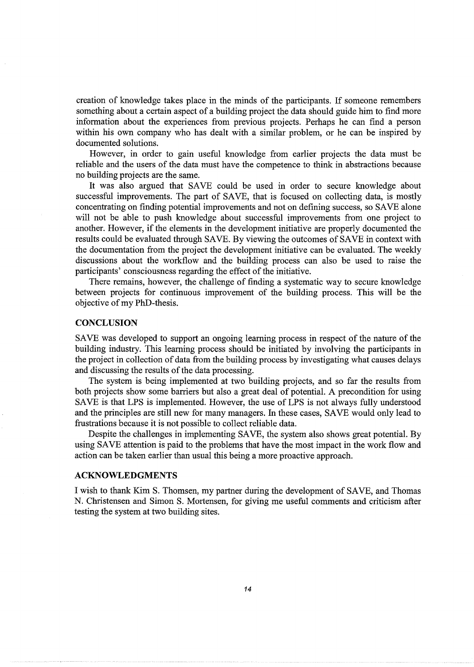creation of knowledge takes place in the minds of the participants. If someone remembers something about a certain aspect of a building project the data should guide him to find more information about the experiences from previous projects. Perhaps he can find a person within his own company who has dealt with a similar problem, or he can be inspired by documented solutions.

However, in order to gain useful knowledge from earlier projects the data must be reliable and the users of the data must have the competence to think in abstractions because no building projects are the same.

It was also argued that SAVE could be used in order to secure knowledge about successful improvements. The part of SAVE, that is focused on collecting data, is mostly concentrating on finding potential improvements and not on defining success, so SAVE alone will not be able to push knowledge about successful improvements from one project to another. However, if the elements in the development initiative are properly documented the results could be evaluated through SAVE. By viewing the outcomes of SAVE in context with the documentation from the project the development initiative can be evaluated. The weekly discussions about the workflow and the building process can also be used to raise the participants' consciousness regarding the effect of the initiative.

There remains, however, the challenge of finding a systematic way to secure knowledge between projects for continuous improvement of the building process. This will be the objective of my PhD-thesis.

#### **CONCLUSION**

SAVE was developed to support an ongoing learning process in respect of the nature of the building industry. This learning process should be initiated by involving the participants in the project in collection of data from the building process by investigating what causes delays and discussing the results of the data processing.

The system is being implemented at two building projects, and so far the results from both projects show some barriers but also a great deal of potential. A precondition for using SAVE is that LPS is implemented. However, the use of LPS is not always fully understood and the principles are still new for many managers. In these cases, SAVE would only lead to frustrations because it is not possible to collect reliable data.

Despite the challenges in implementing SAVE, the system also shows great potential. By using SAVE attention is paid to the problems that have the most impact in the work flow and action can be taken earlier than usual this being a more proactive approach.

# **ACKNOWLEDGMENTS**

I wish to thank Kim S. Thomsen, my partner during the development of SAVE, and Thomas N. Christensen and Simon S. Mortensen, for giving me useful comments and criticism after testing the system at two building sites.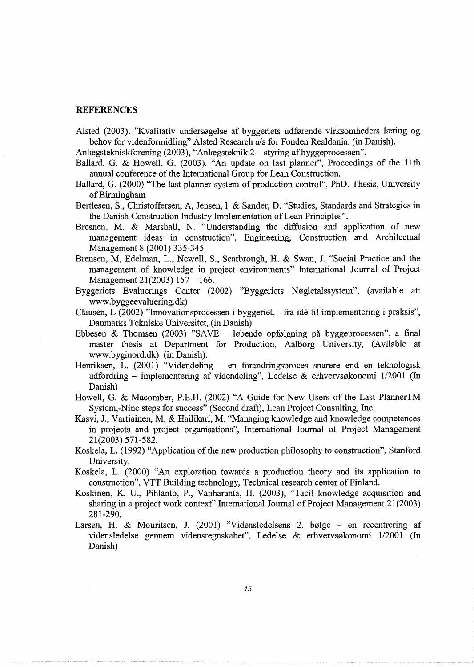# **REFERENCES**

Alsted (2003). "Kvalitativ undersøgelse af byggeriets udførende virksomheders læring og behov for videnformidling" Alsted Research a/s for Fonden Realdania. (in Danish).

Anlægstekniskforening (2003), "Anlægsteknik 2 – styring af byggeprocessen".

- Ballard, G. & Howell, G. (2003). "An update on last planner", Proceedings of the 11th annual conference of the International Group for Lean Construction.
- Ballard, G. (2000) "The last planner system of production control", PhD.-Thesis, University of Birmingham
- Bertlesen, S., Christoffersen, A, Jensen, I. & Sander, D. "Studies, Standards and Strategies in the Danish Construction Industry Implementation of Lean Principles".
- Bresnen, M. & Marshall, N. "Understanding the diffusion and application of new management ideas in construction", Engineering, Construction and Architectual Management 8 (2001) 335-345
- Brensen, M, Edelman, L., Newell, S., Scarbrough, H. & Swan, J. "Social Practice and the management of knowledge in project environments" International Journal of Project Management 21(2003) 157- 166.
- Byggeriets Evaluerings Center (2002) "Byggeriets Nøgletalssystem", (available at: www.byggeevaluering.dk)
- Clausen, L (2002) "Innovationsprocessen i byggeriet, fra ide til implementering i praksis", Danmarks Tekniske Universitet, (in Danish)
- Ebbesen & Thomsen (2003) "SAVE løbende opfølgning på byggeprocessen", a final master thesis at Department for Production, Aalborg University, (Avilable at www.byginord.dk) (in Danish).
- Henriksen, L. (2001) "Videndeling en forandringsproces snarere end en teknologisk udfordring – implementering af videndeling", Ledelse & erhvervsøkonomi  $1/2001$  (In Danish)
- Howell, G. & Macomber, P.E.H. (2002) "A Guide for New Users of the Last PlannerTM System,-Nine steps for success" (Second draft), Lean Project Consulting, Inc.
- Kasvi, J., Vartiainen, M. & Hailikari, M. "Managing knowledge and knowledge competences in projects and project organisations", International Journal of Project Management 21(2003) 571-582.
- Koskela, L. (1992) "Application of the new production philosophy to construction", Stanford University.
- Koskela, L. (2000) "An exploration towards a production theory and its application to construction", VTT Building technology, Technical research center of Finland.
- Koskinen, K. U., Pihlanto, P., Vanharanta, H. (2003), "Tacit knowledge acquisition and sharing in a project work context" International Journal of Project Management 21(2003) 281-290.
- Larsen, H. & Mouritsen, J. (2001) "Vidensledelsens 2. bølge en recentrering af vidensledelse gennem vidensregnskabet", Ledelse  $\&$  erhvervsøkonomi 1/2001 (In Danish)